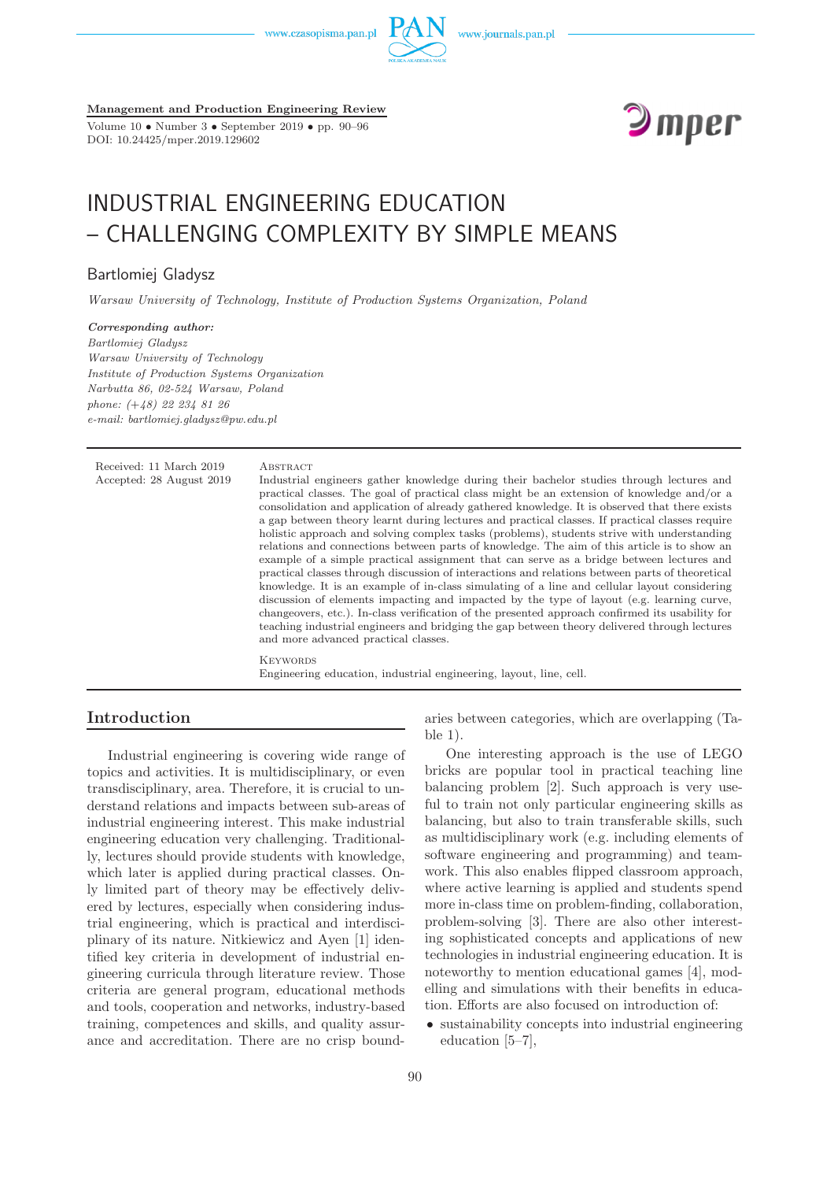www.czasopisma.pan.pl



**Management and Production Engineering Review** Volume 10 • Number 3 • September 2019 • pp. 90–96

DOI: 10.24425/mper.2019.129602



# INDUSTRIAL ENGINEERING EDUCATION – CHALLENGING COMPLEXITY BY SIMPLE MEANS

# Bartlomiej Gladysz

*Warsaw University of Technology, Institute of Production Systems Organization, Poland*

*Corresponding author: Bartlomiej Gladysz Warsaw University of Technology Institute of Production Systems Organization Narbutta 86, 02-524 Warsaw, Poland phone: (*+*48) 22 234 81 26 e-mail: bartlomiej.gladysz@pw.edu.pl*

Received: 11 March 2019 ABSTRACT

Accepted: 28 August 2019 Industrial engineers gather knowledge during their bachelor studies through lectures and practical classes. The goal of practical class might be an extension of knowledge and/or a consolidation and application of already gathered knowledge. It is observed that there exists a gap between theory learnt during lectures and practical classes. If practical classes require holistic approach and solving complex tasks (problems), students strive with understanding relations and connections between parts of knowledge. The aim of this article is to show an example of a simple practical assignment that can serve as a bridge between lectures and practical classes through discussion of interactions and relations between parts of theoretical knowledge. It is an example of in-class simulating of a line and cellular layout considering discussion of elements impacting and impacted by the type of layout (e.g. learning curve, changeovers, etc.). In-class verification of the presented approach confirmed its usability for teaching industrial engineers and bridging the gap between theory delivered through lectures and more advanced practical classes.

> **KEYWORDS** Engineering education, industrial engineering, layout, line, cell.

# **Introduction**

Industrial engineering is covering wide range of topics and activities. It is multidisciplinary, or even transdisciplinary, area. Therefore, it is crucial to understand relations and impacts between sub-areas of industrial engineering interest. This make industrial engineering education very challenging. Traditionally, lectures should provide students with knowledge, which later is applied during practical classes. Only limited part of theory may be effectively delivered by lectures, especially when considering industrial engineering, which is practical and interdisciplinary of its nature. Nitkiewicz and Ayen [1] identified key criteria in development of industrial engineering curricula through literature review. Those criteria are general program, educational methods and tools, cooperation and networks, industry-based training, competences and skills, and quality assurance and accreditation. There are no crisp boundaries between categories, which are overlapping (Table 1).

One interesting approach is the use of LEGO bricks are popular tool in practical teaching line balancing problem [2]. Such approach is very useful to train not only particular engineering skills as balancing, but also to train transferable skills, such as multidisciplinary work (e.g. including elements of software engineering and programming) and teamwork. This also enables flipped classroom approach, where active learning is applied and students spend more in-class time on problem-finding, collaboration, problem-solving [3]. There are also other interesting sophisticated concepts and applications of new technologies in industrial engineering education. It is noteworthy to mention educational games [4], modelling and simulations with their benefits in education. Efforts are also focused on introduction of:

• sustainability concepts into industrial engineering education [5–7],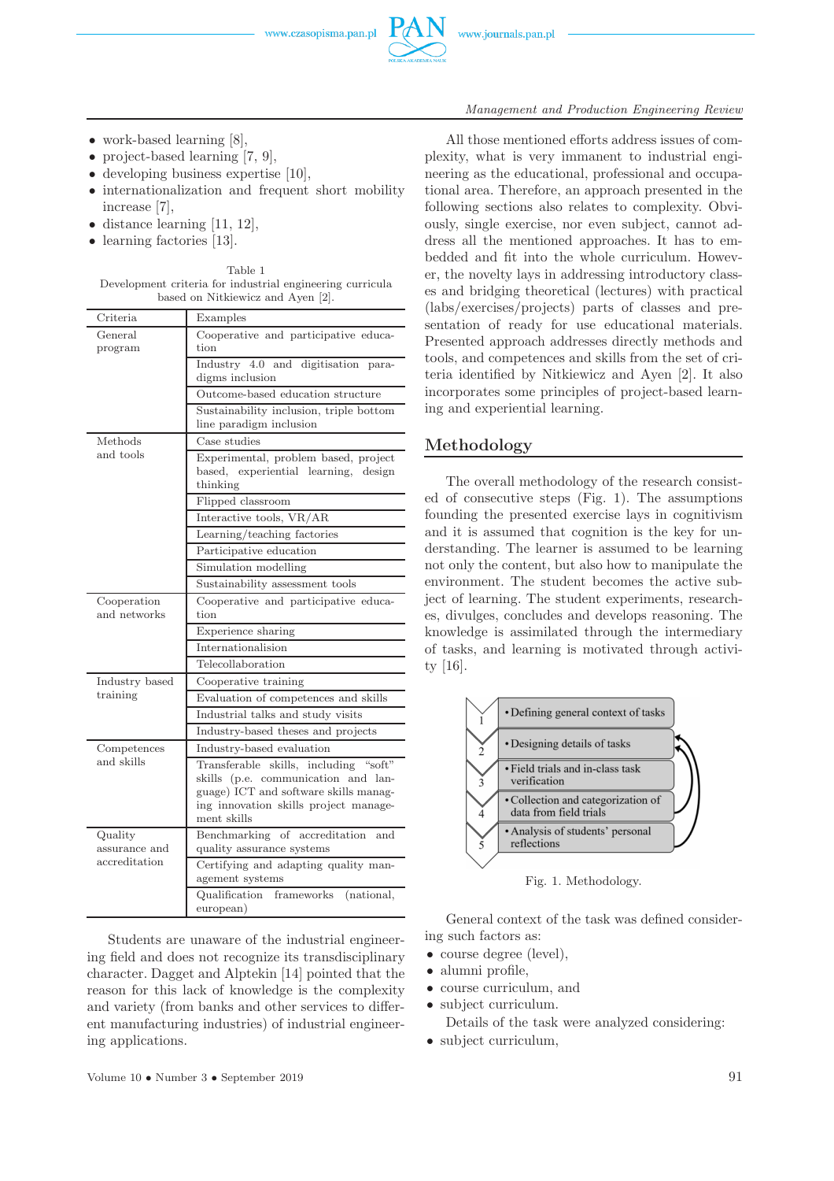

- work-based learning [8],
- project-based learning [7, 9],
- developing business expertise [10].
- internationalization and frequent short mobility increase [7],
- distance learning [11, 12],
- learning factories [13].

Table 1 Development criteria for industrial engineering curricula based on Nitkiewicz and Ayen [2].

| Criteria                    | Examples                                                                                                                                                                      |  |  |
|-----------------------------|-------------------------------------------------------------------------------------------------------------------------------------------------------------------------------|--|--|
| General<br>program          | Cooperative and participative educa-<br>tion                                                                                                                                  |  |  |
|                             | Industry 4.0 and digitisation para-<br>digms inclusion                                                                                                                        |  |  |
|                             | Outcome-based education structure                                                                                                                                             |  |  |
|                             | Sustainability inclusion, triple bottom<br>line paradigm inclusion                                                                                                            |  |  |
| Methods                     | Case studies                                                                                                                                                                  |  |  |
| and tools                   | Experimental, problem based, project<br>based, experiential learning, design<br>thinking                                                                                      |  |  |
|                             | Flipped classroom                                                                                                                                                             |  |  |
|                             | Interactive tools, VR/AR                                                                                                                                                      |  |  |
|                             | Learning/teaching factories                                                                                                                                                   |  |  |
|                             | Participative education                                                                                                                                                       |  |  |
|                             | Simulation modelling                                                                                                                                                          |  |  |
|                             | Sustainability assessment tools                                                                                                                                               |  |  |
| Cooperation<br>and networks | Cooperative and participative educa-<br>tion                                                                                                                                  |  |  |
|                             | Experience sharing                                                                                                                                                            |  |  |
|                             | Internationalision                                                                                                                                                            |  |  |
|                             | Telecollaboration                                                                                                                                                             |  |  |
| Industry based              | Cooperative training                                                                                                                                                          |  |  |
| training                    | Evaluation of competences and skills                                                                                                                                          |  |  |
|                             | Industrial talks and study visits                                                                                                                                             |  |  |
|                             | Industry-based theses and projects                                                                                                                                            |  |  |
| Competences                 | Industry-based evaluation                                                                                                                                                     |  |  |
| and skills                  | Transferable skills, including "soft"<br>skills (p.e. communication and lan-<br>guage) ICT and software skills manag-<br>ing innovation skills project manage-<br>ment skills |  |  |
| Quality<br>assurance and    | Benchmarking of accreditation<br>and<br>quality assurance systems                                                                                                             |  |  |
| accreditation               | Certifying and adapting quality man-<br>agement systems                                                                                                                       |  |  |
|                             | Qualification<br>frameworks<br>(national,<br>european)                                                                                                                        |  |  |

Students are unaware of the industrial engineering field and does not recognize its transdisciplinary character. Dagget and Alptekin [14] pointed that the reason for this lack of knowledge is the complexity and variety (from banks and other services to different manufacturing industries) of industrial engineering applications.

#### *Management and Production Engineering Review*

All those mentioned efforts address issues of complexity, what is very immanent to industrial engineering as the educational, professional and occupational area. Therefore, an approach presented in the following sections also relates to complexity. Obviously, single exercise, nor even subject, cannot address all the mentioned approaches. It has to embedded and fit into the whole curriculum. However, the novelty lays in addressing introductory classes and bridging theoretical (lectures) with practical (labs/exercises/projects) parts of classes and presentation of ready for use educational materials. Presented approach addresses directly methods and tools, and competences and skills from the set of criteria identified by Nitkiewicz and Ayen [2]. It also incorporates some principles of project-based learning and experiential learning.

# **Methodology**

The overall methodology of the research consisted of consecutive steps (Fig. 1). The assumptions founding the presented exercise lays in cognitivism and it is assumed that cognition is the key for understanding. The learner is assumed to be learning not only the content, but also how to manipulate the environment. The student becomes the active subject of learning. The student experiments, researches, divulges, concludes and develops reasoning. The knowledge is assimilated through the intermediary of tasks, and learning is motivated through activity [16].



Fig. 1. Methodology.

General context of the task was defined considering such factors as:

- course degree (level),
- alumni profile,
- course curriculum, and
- subject curriculum.

Details of the task were analyzed considering:

• subject curriculum,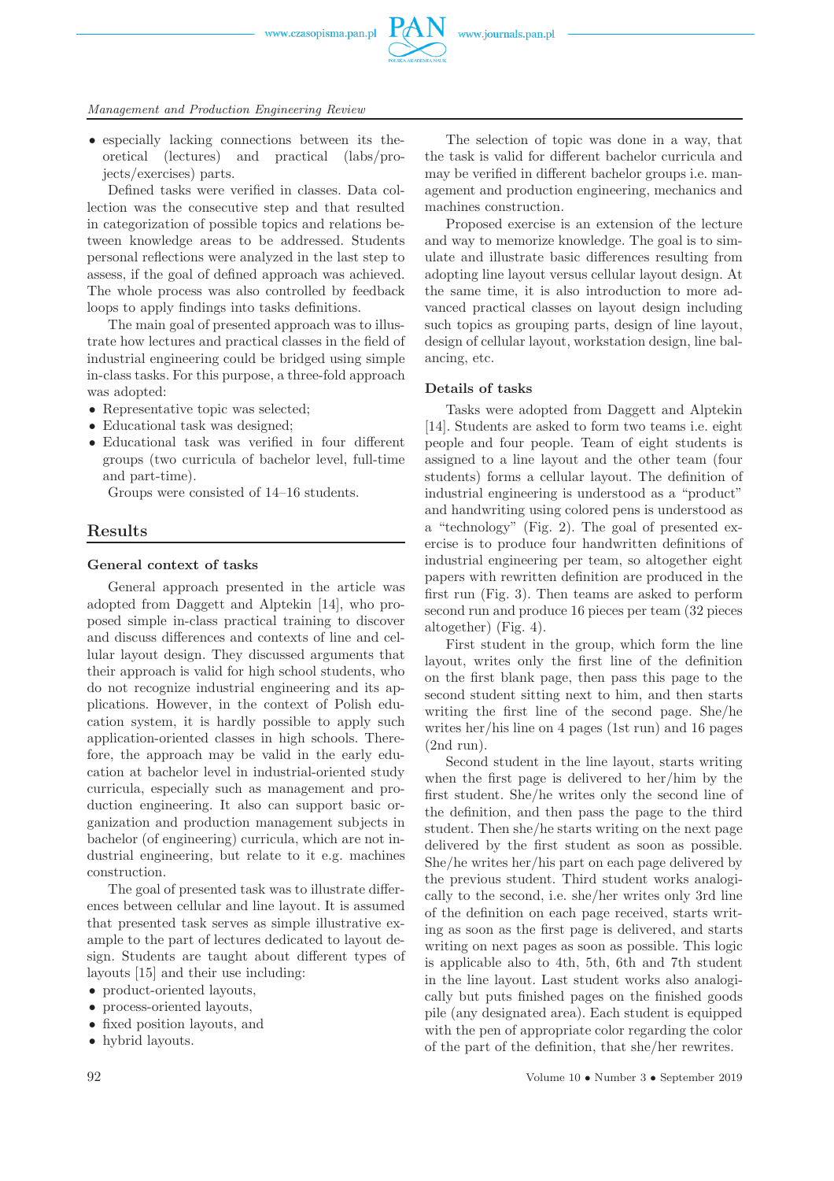

*Management and Production Engineering Review*

• especially lacking connections between its theoretical (lectures) and practical (labs/projects/exercises) parts.

Defined tasks were verified in classes. Data collection was the consecutive step and that resulted in categorization of possible topics and relations between knowledge areas to be addressed. Students personal reflections were analyzed in the last step to assess, if the goal of defined approach was achieved. The whole process was also controlled by feedback loops to apply findings into tasks definitions.

The main goal of presented approach was to illustrate how lectures and practical classes in the field of industrial engineering could be bridged using simple in-class tasks. For this purpose, a three-fold approach was adopted:

- Representative topic was selected;
- Educational task was designed:
- Educational task was verified in four different groups (two curricula of bachelor level, full-time and part-time).

Groups were consisted of 14–16 students.

# **Results**

#### **General context of tasks**

General approach presented in the article was adopted from Daggett and Alptekin [14], who proposed simple in-class practical training to discover and discuss differences and contexts of line and cellular layout design. They discussed arguments that their approach is valid for high school students, who do not recognize industrial engineering and its applications. However, in the context of Polish education system, it is hardly possible to apply such application-oriented classes in high schools. Therefore, the approach may be valid in the early education at bachelor level in industrial-oriented study curricula, especially such as management and production engineering. It also can support basic organization and production management subjects in bachelor (of engineering) curricula, which are not industrial engineering, but relate to it e.g. machines construction.

The goal of presented task was to illustrate differences between cellular and line layout. It is assumed that presented task serves as simple illustrative example to the part of lectures dedicated to layout design. Students are taught about different types of layouts [15] and their use including:

- product-oriented layouts,
- process-oriented layouts,
- fixed position layouts, and
- hybrid layouts.

The selection of topic was done in a way, that the task is valid for different bachelor curricula and may be verified in different bachelor groups i.e. management and production engineering, mechanics and machines construction.

Proposed exercise is an extension of the lecture and way to memorize knowledge. The goal is to simulate and illustrate basic differences resulting from adopting line layout versus cellular layout design. At the same time, it is also introduction to more advanced practical classes on layout design including such topics as grouping parts, design of line layout, design of cellular layout, workstation design, line balancing, etc.

#### **Details of tasks**

Tasks were adopted from Daggett and Alptekin [14]. Students are asked to form two teams i.e. eight people and four people. Team of eight students is assigned to a line layout and the other team (four students) forms a cellular layout. The definition of industrial engineering is understood as a "product" and handwriting using colored pens is understood as a "technology" (Fig. 2). The goal of presented exercise is to produce four handwritten definitions of industrial engineering per team, so altogether eight papers with rewritten definition are produced in the first run (Fig. 3). Then teams are asked to perform second run and produce 16 pieces per team (32 pieces altogether) (Fig. 4).

First student in the group, which form the line layout, writes only the first line of the definition on the first blank page, then pass this page to the second student sitting next to him, and then starts writing the first line of the second page. She/he writes her/his line on 4 pages (1st run) and 16 pages (2nd run).

Second student in the line layout, starts writing when the first page is delivered to her/him by the first student. She/he writes only the second line of the definition, and then pass the page to the third student. Then she/he starts writing on the next page delivered by the first student as soon as possible. She/he writes her/his part on each page delivered by the previous student. Third student works analogically to the second, i.e. she/her writes only 3rd line of the definition on each page received, starts writing as soon as the first page is delivered, and starts writing on next pages as soon as possible. This logic is applicable also to 4th, 5th, 6th and 7th student in the line layout. Last student works also analogically but puts finished pages on the finished goods pile (any designated area). Each student is equipped with the pen of appropriate color regarding the color of the part of the definition, that she/her rewrites.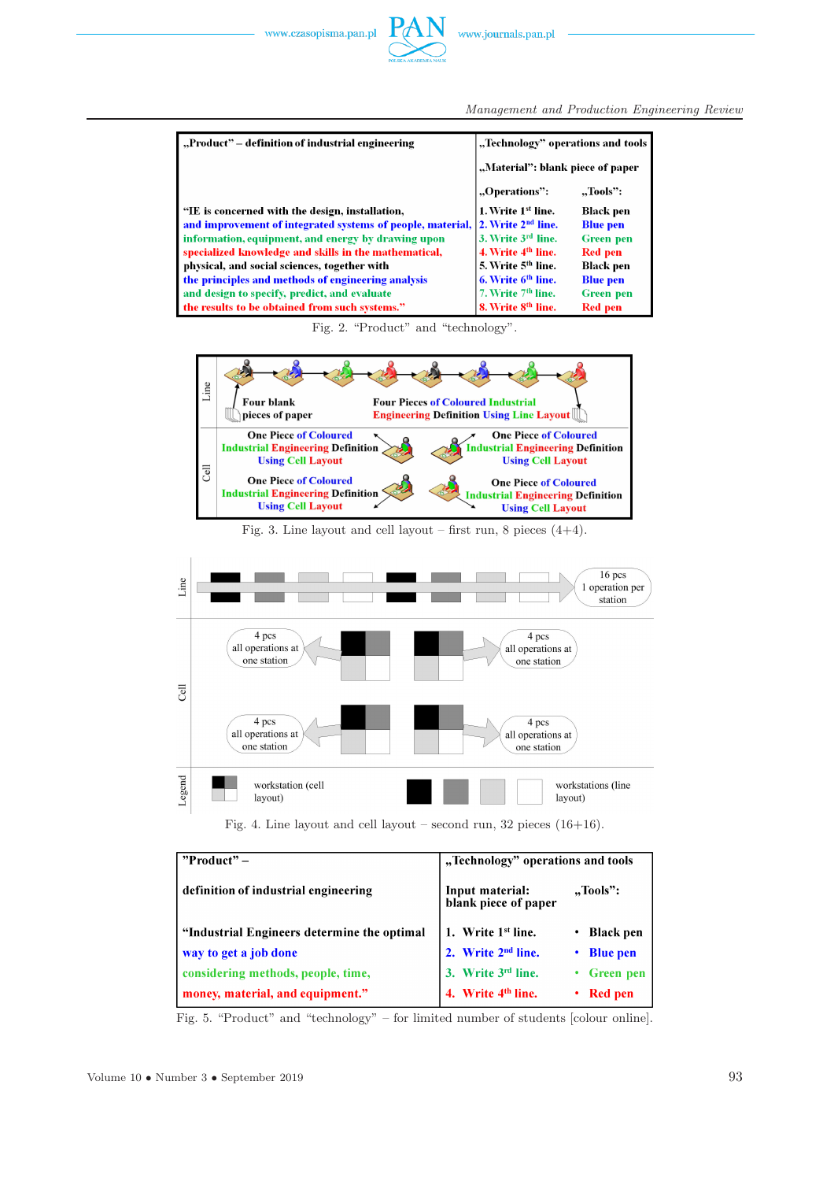*Management and Production Engineering Review*

| "Product" – definition of industrial engineering                                    | "Technology" operations and tools |                  |  |
|-------------------------------------------------------------------------------------|-----------------------------------|------------------|--|
|                                                                                     | "Material": blank piece of paper  |                  |  |
|                                                                                     | "Operations":                     | "Tools":         |  |
| "IE is concerned with the design, installation,                                     | 1. Write 1 <sup>st</sup> line.    | <b>Black pen</b> |  |
| and improvement of integrated systems of people, material, $ 2$ . Write $2nd$ line. |                                   | <b>Blue pen</b>  |  |
| information, equipment, and energy by drawing upon                                  | 3. Write 3rd line.                | <b>Green</b> pen |  |
| specialized knowledge and skills in the mathematical,                               | 4. Write 4 <sup>th</sup> line.    | <b>Red</b> pen   |  |
| physical, and social sciences, together with                                        | 5. Write 5 <sup>th</sup> line.    | <b>Black pen</b> |  |
| the principles and methods of engineering analysis                                  | 6. Write 6 <sup>th</sup> line.    | <b>Blue pen</b>  |  |
| and design to specify, predict, and evaluate                                        | 7. Write 7 <sup>th</sup> line.    | <b>Green</b> pen |  |
| the results to be obtained from such systems."                                      | 8. Write 8 <sup>th</sup> line.    | <b>Red</b> pen   |  |

Fig. 2. "Product" and "technology".



Fig. 3. Line layout and cell layout – first run, 8 pieces  $(4+4)$ .



Fig. 4. Line layout and cell layout – second run,  $32$  pieces  $(16+16)$ .

| $"Product" -$                                | "Technology" operations and tools       |                   |  |
|----------------------------------------------|-----------------------------------------|-------------------|--|
| definition of industrial engineering         | Input material:<br>blank piece of paper | "Tools":          |  |
| "Industrial Engineers determine the optimal" | 1. Write 1 <sup>st</sup> line.          | <b>Black pen</b>  |  |
| way to get a job done                        | 2. Write 2 <sup>nd</sup> line.          | <b>Blue pen</b>   |  |
| considering methods, people, time,           | 3. Write 3rd line.                      | $\cdot$ Green pen |  |
| money, material, and equipment."             | 4. Write 4th line.                      | <b>Red</b> pen    |  |

Fig. 5. "Product" and "technology" – for limited number of students [colour online].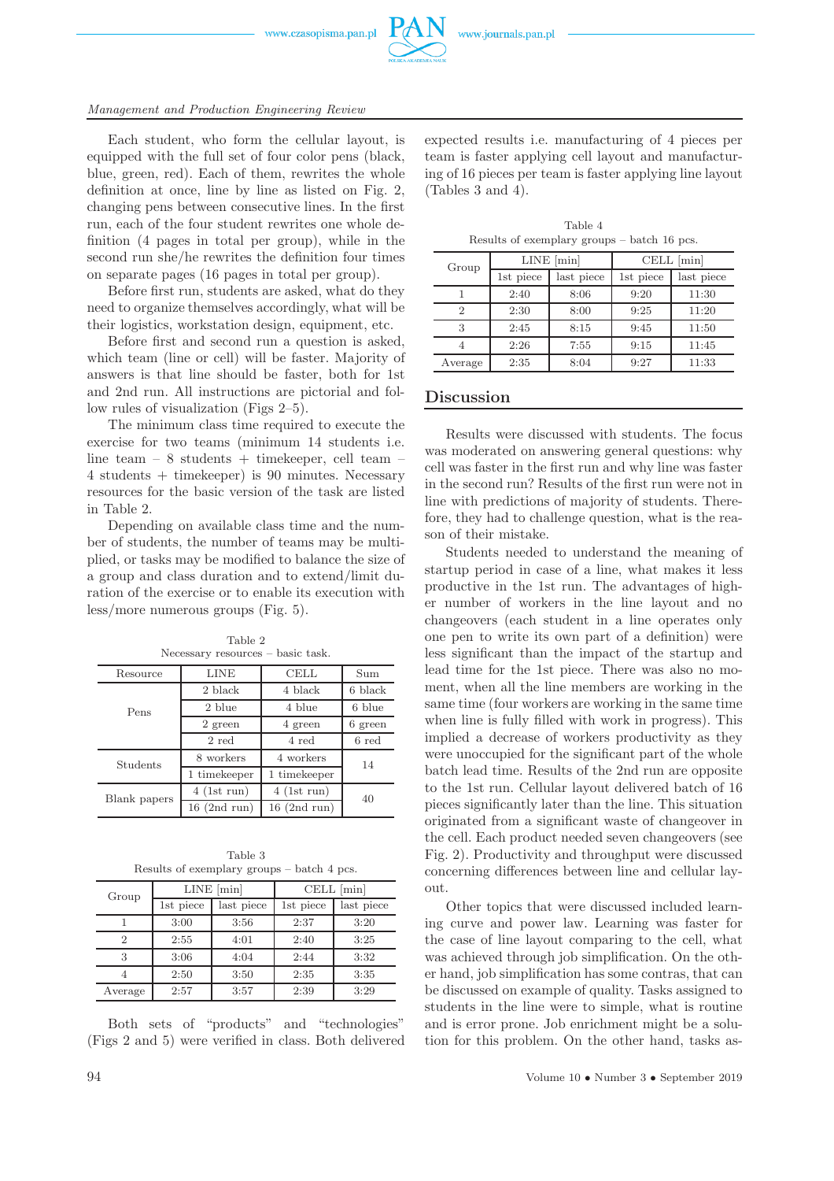www.czasopisma.pan.pl



Each student, who form the cellular layout, is equipped with the full set of four color pens (black, blue, green, red). Each of them, rewrites the whole definition at once, line by line as listed on Fig. 2, changing pens between consecutive lines. In the first run, each of the four student rewrites one whole definition (4 pages in total per group), while in the second run she/he rewrites the definition four times on separate pages (16 pages in total per group).

Before first run, students are asked, what do they need to organize themselves accordingly, what will be their logistics, workstation design, equipment, etc.

Before first and second run a question is asked, which team (line or cell) will be faster. Majority of answers is that line should be faster, both for 1st and 2nd run. All instructions are pictorial and follow rules of visualization (Figs 2–5).

The minimum class time required to execute the exercise for two teams (minimum 14 students i.e. line team – 8 students + timekeeper, cell team – 4 students + timekeeper) is 90 minutes. Necessary resources for the basic version of the task are listed in Table 2.

Depending on available class time and the number of students, the number of teams may be multiplied, or tasks may be modified to balance the size of a group and class duration and to extend/limit duration of the exercise or to enable its execution with less/more numerous groups (Fig. 5).

Table 2

| Necessary resources – basic task. |                        |                |         |  |
|-----------------------------------|------------------------|----------------|---------|--|
| Resource                          | LINE<br><b>CELL</b>    |                | Sum     |  |
|                                   | 2 black                | 4 black        | 6 black |  |
| Pens                              | $2 \text{ blue}$       | 4 blue         | 6 blue  |  |
|                                   | 2 green                | 4 green        | 6 green |  |
|                                   | 2 red                  | 4 red          | 6 red   |  |
| Students                          | 8 workers<br>4 workers |                | 14      |  |
|                                   | 1 timekeeper           | 1 timekeeper   |         |  |
| Blank papers                      | $4$ (1st run)          | $4$ (1st run)  | 40      |  |
|                                   | $16$ (2nd run)         | $16$ (2nd run) |         |  |

Table 3

| таріе ә |                                            |  |  |  |  |
|---------|--------------------------------------------|--|--|--|--|
|         | Results of exemplary groups – batch 4 pcs. |  |  |  |  |

| Group   | $LINE$ [ $min$ ] |            | CELL [min] |            |
|---------|------------------|------------|------------|------------|
|         | 1st piece        | last piece | 1st piece  | last piece |
|         | 3:00             | 3:56       | 2:37       | 3:20       |
| 2       | 2:55             | 4:01       | 2:40       | 3:25       |
| 3       | 3:06             | 4:04       | 2:44       | 3:32       |
|         | 2:50             | 3:50       | 2:35       | 3:35       |
| Average | 2:57             | 3:57       | 2:39       | 3:29       |

Both sets of "products" and "technologies" (Figs 2 and 5) were verified in class. Both delivered

| Table 4                                     |  |  |  |  |  |
|---------------------------------------------|--|--|--|--|--|
| Results of exemplary groups – batch 16 pcs. |  |  |  |  |  |

| Group   | $LINE$ [min] |            | $CELL \text{[min]}$ |            |
|---------|--------------|------------|---------------------|------------|
|         | 1st piece    | last piece | 1st piece           | last piece |
|         | 2:40         | 8:06       | 9:20                | 11:30      |
| 2       | 2:30         | 8:00       | 9:25                | 11:20      |
| 3       | 2:45         | 8:15       | 9:45                | 11:50      |
|         | 2:26         | 7:55       | 9:15                | 11:45      |
| Average | 2:35         | 8:04       | 9:27                | 11:33      |

### **Discussion**

Results were discussed with students. The focus was moderated on answering general questions: why cell was faster in the first run and why line was faster in the second run? Results of the first run were not in line with predictions of majority of students. Therefore, they had to challenge question, what is the reason of their mistake.

Students needed to understand the meaning of startup period in case of a line, what makes it less productive in the 1st run. The advantages of higher number of workers in the line layout and no changeovers (each student in a line operates only one pen to write its own part of a definition) were less significant than the impact of the startup and lead time for the 1st piece. There was also no moment, when all the line members are working in the same time (four workers are working in the same time when line is fully filled with work in progress). This implied a decrease of workers productivity as they were unoccupied for the significant part of the whole batch lead time. Results of the 2nd run are opposite to the 1st run. Cellular layout delivered batch of 16 pieces significantly later than the line. This situation originated from a significant waste of changeover in the cell. Each product needed seven changeovers (see Fig. 2). Productivity and throughput were discussed concerning differences between line and cellular layout.

Other topics that were discussed included learning curve and power law. Learning was faster for the case of line layout comparing to the cell, what was achieved through job simplification. On the other hand, job simplification has some contras, that can be discussed on example of quality. Tasks assigned to students in the line were to simple, what is routine and is error prone. Job enrichment might be a solution for this problem. On the other hand, tasks as-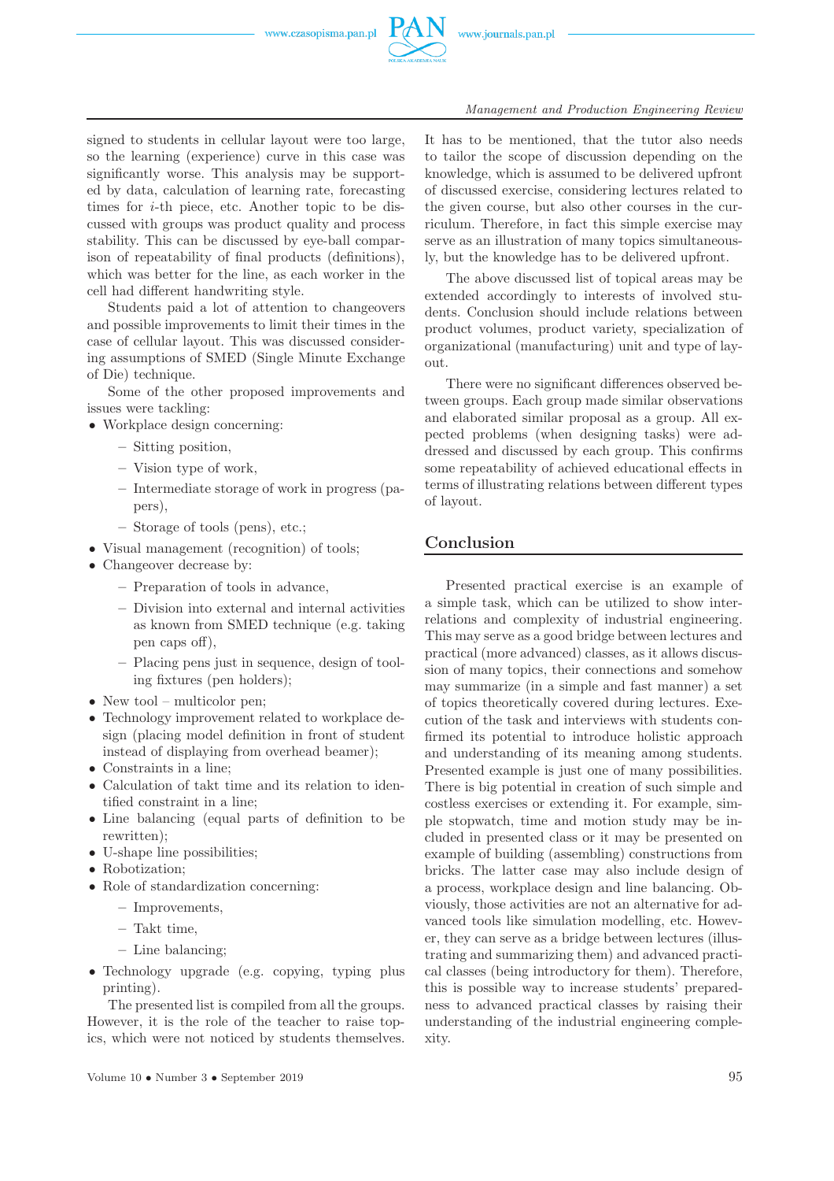

#### *Management and Production Engineering Review*

signed to students in cellular layout were too large, so the learning (experience) curve in this case was significantly worse. This analysis may be supported by data, calculation of learning rate, forecasting times for i-th piece, etc. Another topic to be discussed with groups was product quality and process stability. This can be discussed by eye-ball comparison of repeatability of final products (definitions), which was better for the line, as each worker in the cell had different handwriting style.

Students paid a lot of attention to changeovers and possible improvements to limit their times in the case of cellular layout. This was discussed considering assumptions of SMED (Single Minute Exchange of Die) technique.

Some of the other proposed improvements and issues were tackling:

- Workplace design concerning:
	- **–** Sitting position,
	- **–** Vision type of work,
	- **–** Intermediate storage of work in progress (papers),
	- **–** Storage of tools (pens), etc.;
- Visual management (recognition) of tools;
- Changeover decrease by:
	- **–** Preparation of tools in advance,
	- **–** Division into external and internal activities as known from SMED technique (e.g. taking pen caps off),
	- **–** Placing pens just in sequence, design of tooling fixtures (pen holders);
- New tool multicolor pen;
- Technology improvement related to workplace design (placing model definition in front of student instead of displaying from overhead beamer);
- Constraints in a line;
- Calculation of takt time and its relation to identified constraint in a line;
- Line balancing (equal parts of definition to be rewritten);
- U-shape line possibilities;
- Robotization;
- Role of standardization concerning:
	- **–** Improvements,
	- **–** Takt time,
	- **–** Line balancing;
- Technology upgrade (e.g. copying, typing plus printing).

The presented list is compiled from all the groups. However, it is the role of the teacher to raise topics, which were not noticed by students themselves.

It has to be mentioned, that the tutor also needs to tailor the scope of discussion depending on the knowledge, which is assumed to be delivered upfront of discussed exercise, considering lectures related to the given course, but also other courses in the curriculum. Therefore, in fact this simple exercise may serve as an illustration of many topics simultaneously, but the knowledge has to be delivered upfront.

The above discussed list of topical areas may be extended accordingly to interests of involved students. Conclusion should include relations between product volumes, product variety, specialization of organizational (manufacturing) unit and type of layout.

There were no significant differences observed between groups. Each group made similar observations and elaborated similar proposal as a group. All expected problems (when designing tasks) were addressed and discussed by each group. This confirms some repeatability of achieved educational effects in terms of illustrating relations between different types of layout.

# **Conclusion**

Presented practical exercise is an example of a simple task, which can be utilized to show interrelations and complexity of industrial engineering. This may serve as a good bridge between lectures and practical (more advanced) classes, as it allows discussion of many topics, their connections and somehow may summarize (in a simple and fast manner) a set of topics theoretically covered during lectures. Execution of the task and interviews with students confirmed its potential to introduce holistic approach and understanding of its meaning among students. Presented example is just one of many possibilities. There is big potential in creation of such simple and costless exercises or extending it. For example, simple stopwatch, time and motion study may be included in presented class or it may be presented on example of building (assembling) constructions from bricks. The latter case may also include design of a process, workplace design and line balancing. Obviously, those activities are not an alternative for advanced tools like simulation modelling, etc. However, they can serve as a bridge between lectures (illustrating and summarizing them) and advanced practical classes (being introductory for them). Therefore, this is possible way to increase students' preparedness to advanced practical classes by raising their understanding of the industrial engineering complexity.